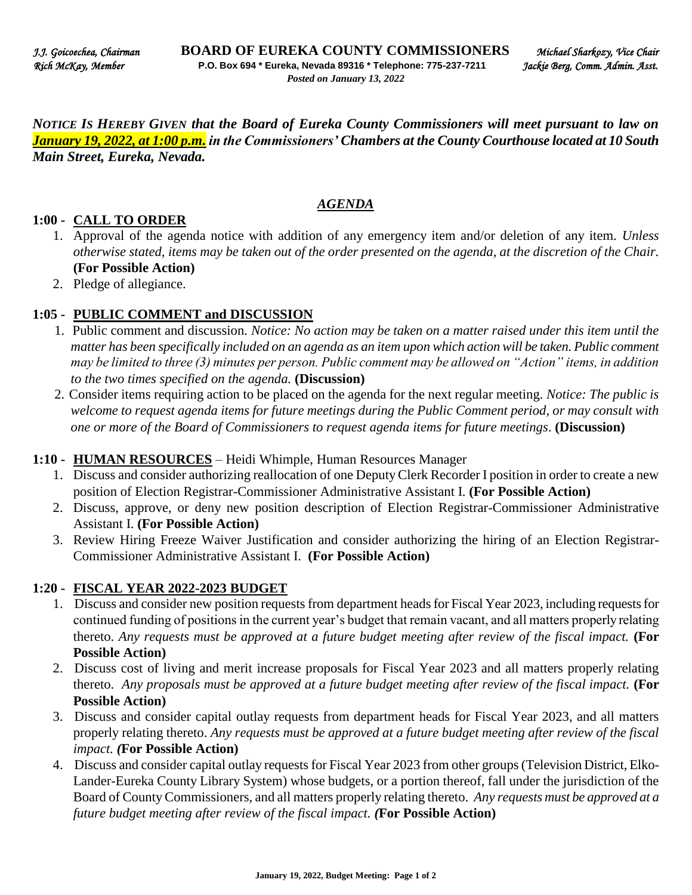*NOTICE IS HEREBY GIVEN that the Board of Eureka County Commissioners will meet pursuant to law on January 19, 2022, at 1:00 p.m. in the Commissioners' Chambers at the County Courthouse located at 10 South Main Street, Eureka, Nevada.* 

## *AGENDA*

## **1:00 - CALL TO ORDER**

- 1. Approval of the agenda notice with addition of any emergency item and/or deletion of any item. *Unless otherwise stated, items may be taken out of the order presented on the agenda, at the discretion of the Chair.* **(For Possible Action)**
- 2. Pledge of allegiance.

## **1:05 - PUBLIC COMMENT and DISCUSSION**

- 1. Public comment and discussion. *Notice: No action may be taken on a matter raised under this item until the matter has been specifically included on an agenda as an item upon which action will be taken. Public comment may be limited to three (3) minutes per person. Public comment may be allowed on "Action" items, in addition to the two times specified on the agenda.* **(Discussion)**
- 2. Consider items requiring action to be placed on the agenda for the next regular meeting. *Notice: The public is welcome to request agenda items for future meetings during the Public Comment period, or may consult with one or more of the Board of Commissioners to request agenda items for future meetings*. **(Discussion)**

## **1:10 - HUMAN RESOURCES** – Heidi Whimple, Human Resources Manager

- 1. Discuss and consider authorizing reallocation of one Deputy Clerk Recorder I position in order to create a new position of Election Registrar-Commissioner Administrative Assistant I. **(For Possible Action)**
- 2. Discuss, approve, or deny new position description of Election Registrar-Commissioner Administrative Assistant I. **(For Possible Action)**
- 3. Review Hiring Freeze Waiver Justification and consider authorizing the hiring of an Election Registrar-Commissioner Administrative Assistant I. **(For Possible Action)**

#### **1:20 - FISCAL YEAR 2022-2023 BUDGET**

- 1. Discuss and consider new position requests from department heads for Fiscal Year 2023, including requests for continued funding of positions in the current year's budget that remain vacant, and all matters properly relating thereto. *Any requests must be approved at a future budget meeting after review of the fiscal impact.* **(For Possible Action)**
- 2. Discuss cost of living and merit increase proposals for Fiscal Year 2023 and all matters properly relating thereto. *Any proposals must be approved at a future budget meeting after review of the fiscal impact.* **(For Possible Action)**
- 3. Discuss and consider capital outlay requests from department heads for Fiscal Year 2023, and all matters properly relating thereto. *Any requests must be approved at a future budget meeting after review of the fiscal impact. (***For Possible Action)**
- 4. Discuss and consider capital outlay requests for Fiscal Year 2023 from other groups (Television District, Elko-Lander-Eureka County Library System) whose budgets, or a portion thereof, fall under the jurisdiction of the Board of County Commissioners, and all matters properly relating thereto. *Any requests must be approved at a future budget meeting after review of the fiscal impact. (***For Possible Action)**